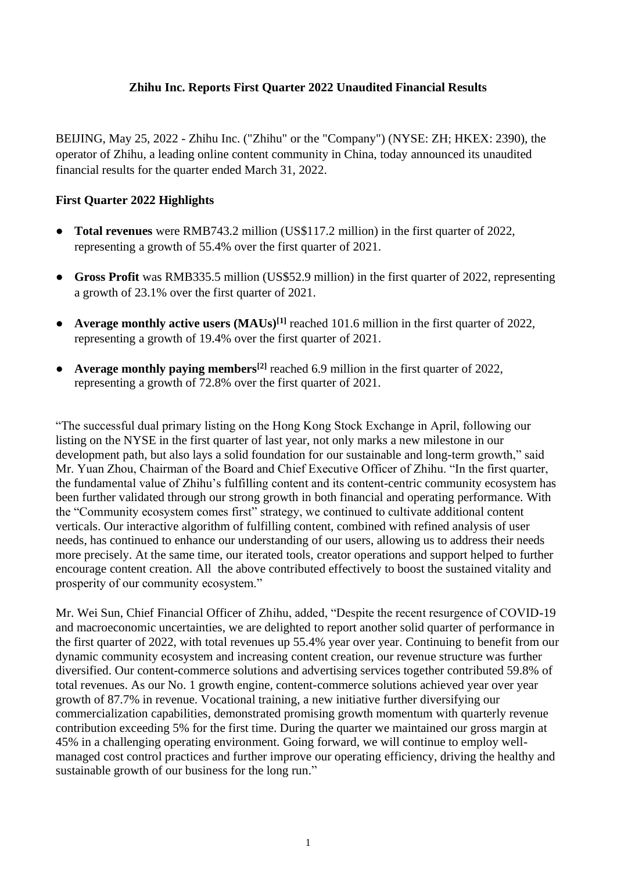# **Zhihu Inc. Reports First Quarter 2022 Unaudited Financial Results**

BEIJING, May 25, 2022 - Zhihu Inc. ("Zhihu" or the "Company") (NYSE: ZH; HKEX: 2390), the operator of Zhihu, a leading online content community in China, today announced its unaudited financial results for the quarter ended March 31, 2022.

## **First Quarter 2022 Highlights**

- **Total revenues** were RMB743.2 million (US\$117.2 million) in the first quarter of 2022, representing a growth of 55.4% over the first quarter of 2021.
- **Gross Profit** was RMB335.5 million (US\$52.9 million) in the first quarter of 2022, representing a growth of 23.1% over the first quarter of 2021.
- **Average monthly active users (MAUs)[1]** reached 101.6 million in the first quarter of 2022, representing a growth of 19.4% over the first quarter of 2021.
- **Average monthly paying members[2]** reached 6.9 million in the first quarter of 2022, representing a growth of 72.8% over the first quarter of 2021.

"The successful dual primary listing on the Hong Kong Stock Exchange in April, following our listing on the NYSE in the first quarter of last year, not only marks a new milestone in our development path, but also lays a solid foundation for our sustainable and long-term growth," said Mr. Yuan Zhou, Chairman of the Board and Chief Executive Officer of Zhihu. "In the first quarter, the fundamental value of Zhihu's fulfilling content and its content-centric community ecosystem has been further validated through our strong growth in both financial and operating performance. With the "Community ecosystem comes first" strategy, we continued to cultivate additional content verticals. Our interactive algorithm of fulfilling content, combined with refined analysis of user needs, has continued to enhance our understanding of our users, allowing us to address their needs more precisely. At the same time, our iterated tools, creator operations and support helped to further encourage content creation. All the above contributed effectively to boost the sustained vitality and prosperity of our community ecosystem."

Mr. Wei Sun, Chief Financial Officer of Zhihu, added, "Despite the recent resurgence of COVID-19 and macroeconomic uncertainties, we are delighted to report another solid quarter of performance in the first quarter of 2022, with total revenues up 55.4% year over year. Continuing to benefit from our dynamic community ecosystem and increasing content creation, our revenue structure was further diversified. Our content-commerce solutions and advertising services together contributed 59.8% of total revenues. As our No. 1 growth engine, content-commerce solutions achieved year over year growth of 87.7% in revenue. Vocational training, a new initiative further diversifying our commercialization capabilities, demonstrated promising growth momentum with quarterly revenue contribution exceeding 5% for the first time. During the quarter we maintained our gross margin at 45% in a challenging operating environment. Going forward, we will continue to employ wellmanaged cost control practices and further improve our operating efficiency, driving the healthy and sustainable growth of our business for the long run."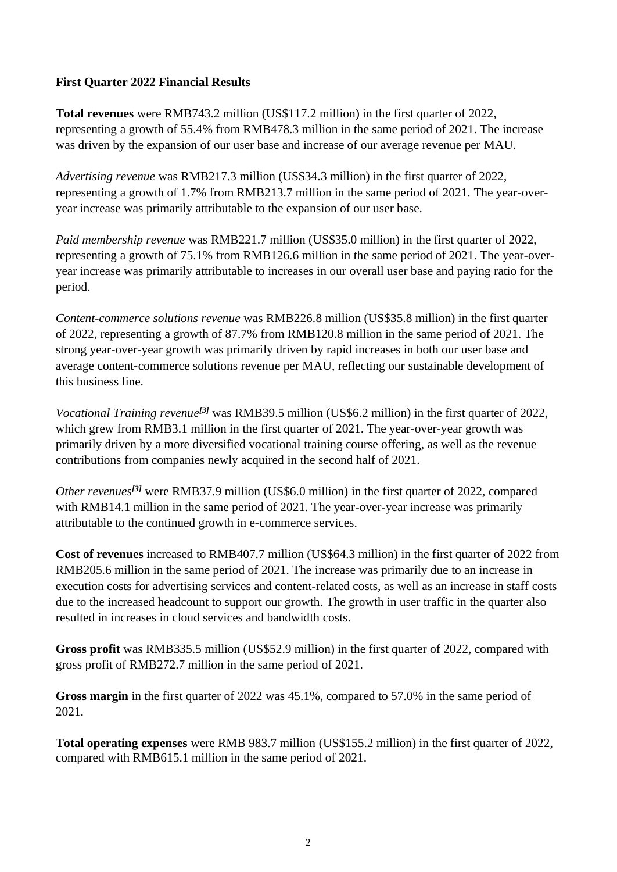## **First Quarter 2022 Financial Results**

**Total revenues** were RMB743.2 million (US\$117.2 million) in the first quarter of 2022, representing a growth of 55.4% from RMB478.3 million in the same period of 2021. The increase was driven by the expansion of our user base and increase of our average revenue per MAU.

*Advertising revenue* was RMB217.3 million (US\$34.3 million) in the first quarter of 2022, representing a growth of 1.7% from RMB213.7 million in the same period of 2021. The year-overyear increase was primarily attributable to the expansion of our user base.

*Paid membership revenue* was RMB221.7 million (US\$35.0 million) in the first quarter of 2022, representing a growth of 75.1% from RMB126.6 million in the same period of 2021. The year-overyear increase was primarily attributable to increases in our overall user base and paying ratio for the period.

*Content-commerce solutions revenue* was RMB226.8 million (US\$35.8 million) in the first quarter of 2022, representing a growth of 87.7% from RMB120.8 million in the same period of 2021. The strong year-over-year growth was primarily driven by rapid increases in both our user base and average content-commerce solutions revenue per MAU, reflecting our sustainable development of this business line.

*Vocational Training revenue[3]* was RMB39.5 million (US\$6.2 million) in the first quarter of 2022, which grew from RMB3.1 million in the first quarter of 2021. The year-over-year growth was primarily driven by a more diversified vocational training course offering, as well as the revenue contributions from companies newly acquired in the second half of 2021.

*Other revenues[3]* were RMB37.9 million (US\$6.0 million) in the first quarter of 2022, compared with RMB14.1 million in the same period of 2021. The year-over-year increase was primarily attributable to the continued growth in e-commerce services.

**Cost of revenues** increased to RMB407.7 million (US\$64.3 million) in the first quarter of 2022 from RMB205.6 million in the same period of 2021. The increase was primarily due to an increase in execution costs for advertising services and content-related costs, as well as an increase in staff costs due to the increased headcount to support our growth. The growth in user traffic in the quarter also resulted in increases in cloud services and bandwidth costs.

**Gross profit** was RMB335.5 million (US\$52.9 million) in the first quarter of 2022, compared with gross profit of RMB272.7 million in the same period of 2021.

**Gross margin** in the first quarter of 2022 was 45.1%, compared to 57.0% in the same period of 2021.

**Total operating expenses** were RMB 983.7 million (US\$155.2 million) in the first quarter of 2022, compared with RMB615.1 million in the same period of 2021.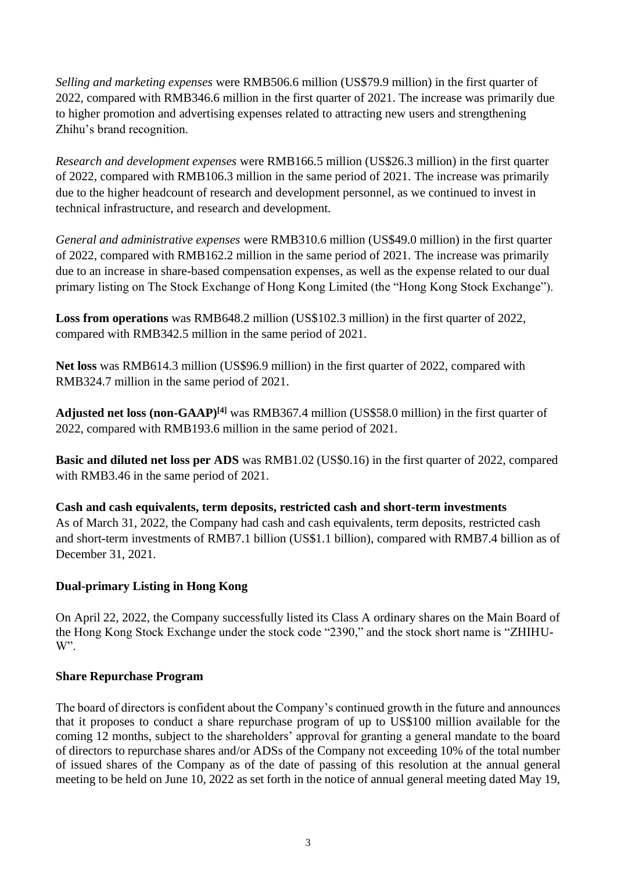*Selling and marketing expenses* were RMB506.6 million (US\$79.9 million) in the first quarter of 2022, compared with RMB346.6 million in the first quarter of 2021. The increase was primarily due to higher promotion and advertising expenses related to attracting new users and strengthening Zhihu's brand recognition.

*Research and development expenses* were RMB166.5 million (US\$26.3 million) in the first quarter of 2022, compared with RMB106.3 million in the same period of 2021. The increase was primarily due to the higher headcount of research and development personnel, as we continued to invest in technical infrastructure, and research and development.

*General and administrative expenses* were RMB310.6 million (US\$49.0 million) in the first quarter of 2022, compared with RMB162.2 million in the same period of 2021. The increase was primarily due to an increase in share-based compensation expenses, as well as the expense related to our dual primary listing on The Stock Exchange of Hong Kong Limited (the "Hong Kong Stock Exchange").

**Loss from operations** was RMB648.2 million (US\$102.3 million) in the first quarter of 2022, compared with RMB342.5 million in the same period of 2021.

**Net loss** was RMB614.3 million (US\$96.9 million) in the first quarter of 2022, compared with RMB324.7 million in the same period of 2021.

**Adjusted net loss (non-GAAP)[4]** was RMB367.4 million (US\$58.0 million) in the first quarter of 2022, compared with RMB193.6 million in the same period of 2021.

**Basic and diluted net loss per ADS** was RMB1.02 (US\$0.16) in the first quarter of 2022, compared with RMB3.46 in the same period of 2021.

**Cash and cash equivalents, term deposits, restricted cash and short-term investments** As of March 31, 2022, the Company had cash and cash equivalents, term deposits, restricted cash and short-term investments of RMB7.1 billion (US\$1.1 billion), compared with RMB7.4 billion as of December 31, 2021.

# **Dual-primary Listing in Hong Kong**

On April 22, 2022, the Company successfully listed its Class A ordinary shares on the Main Board of the Hong Kong Stock Exchange under the stock code "2390," and the stock short name is "ZHIHU-W".

# **Share Repurchase Program**

The board of directors is confident about the Company's continued growth in the future and announces that it proposes to conduct a share repurchase program of up to US\$100 million available for the coming 12 months, subject to the shareholders' approval for granting a general mandate to the board of directors to repurchase shares and/or ADSs of the Company not exceeding 10% of the total number of issued shares of the Company as of the date of passing of this resolution at the annual general meeting to be held on June 10, 2022 as set forth in the notice of annual general meeting dated May 19,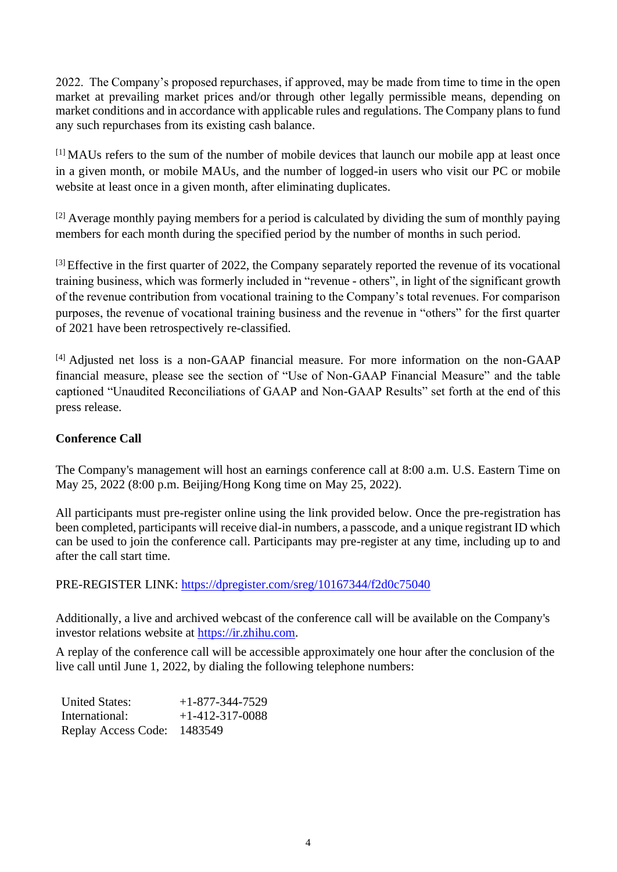2022. The Company's proposed repurchases, if approved, may be made from time to time in the open market at prevailing market prices and/or through other legally permissible means, depending on market conditions and in accordance with applicable rules and regulations. The Company plans to fund any such repurchases from its existing cash balance.

[1] MAUs refers to the sum of the number of mobile devices that launch our mobile app at least once in a given month, or mobile MAUs, and the number of logged-in users who visit our PC or mobile website at least once in a given month, after eliminating duplicates.

 $[2]$  Average monthly paying members for a period is calculated by dividing the sum of monthly paying members for each month during the specified period by the number of months in such period.

<sup>[3]</sup> Effective in the first quarter of 2022, the Company separately reported the revenue of its vocational training business, which was formerly included in "revenue - others", in light of the significant growth of the revenue contribution from vocational training to the Company's total revenues. For comparison purposes, the revenue of vocational training business and the revenue in "others" for the first quarter of 2021 have been retrospectively re-classified.

[4] Adjusted net loss is a non-GAAP financial measure. For more information on the non-GAAP financial measure, please see the section of "Use of Non-GAAP Financial Measure" and the table captioned "Unaudited Reconciliations of GAAP and Non-GAAP Results" set forth at the end of this press release.

## **Conference Call**

The Company's management will host an earnings conference call at 8:00 a.m. U.S. Eastern Time on May 25, 2022 (8:00 p.m. Beijing/Hong Kong time on May 25, 2022).

All participants must pre-register online using the link provided below. Once the pre-registration has been completed, participants will receive dial-in numbers, a passcode, and a unique registrant ID which can be used to join the conference call. Participants may pre-register at any time, including up to and after the call start time.

PRE-REGISTER LINK:<https://dpregister.com/sreg/10167344/f2d0c75040>

Additionally, a live and archived webcast of the conference call will be available on the Company's investor relations website at https://ir.zhihu.com.

A replay of the conference call will be accessible approximately one hour after the conclusion of the live call until June 1, 2022, by dialing the following telephone numbers:

| <b>United States:</b>       | $+1-877-344-7529$ |
|-----------------------------|-------------------|
| International:              | $+1-412-317-0088$ |
| Replay Access Code: 1483549 |                   |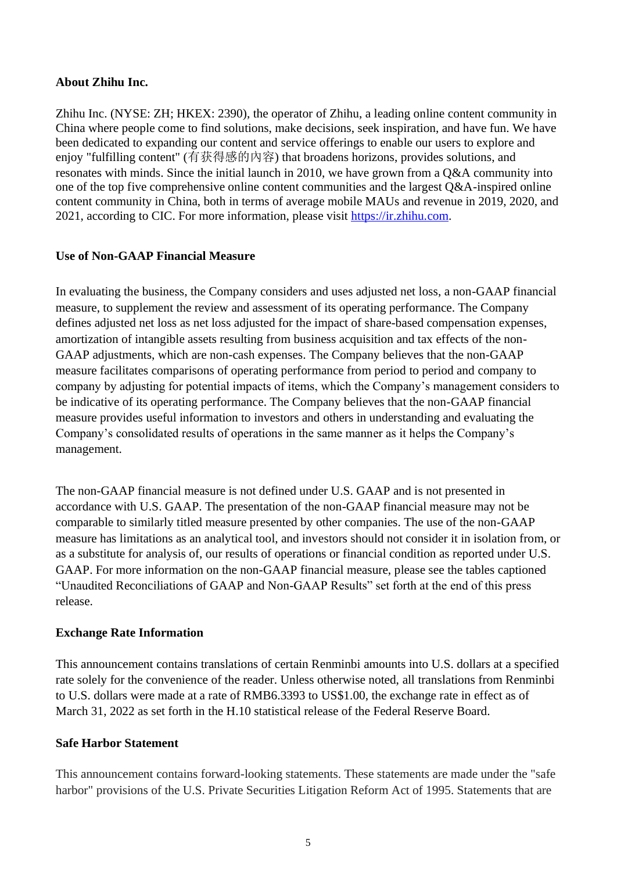### **About Zhihu Inc.**

Zhihu Inc. (NYSE: ZH; HKEX: 2390), the operator of Zhihu, a leading online content community in China where people come to find solutions, make decisions, seek inspiration, and have fun. We have been dedicated to expanding our content and service offerings to enable our users to explore and enjoy "fulfilling content" (有获得感的內容) that broadens horizons, provides solutions, and resonates with minds. Since the initial launch in 2010, we have grown from a Q&A community into one of the top five comprehensive online content communities and the largest Q&A-inspired online content community in China, both in terms of average mobile MAUs and revenue in 2019, 2020, and 2021, according to CIC. For more information, please visit [https://ir.zhihu.com.](https://ir.zhihu.com/)

### **Use of Non-GAAP Financial Measure**

In evaluating the business, the Company considers and uses adjusted net loss, a non-GAAP financial measure, to supplement the review and assessment of its operating performance. The Company defines adjusted net loss as net loss adjusted for the impact of share-based compensation expenses, amortization of intangible assets resulting from business acquisition and tax effects of the non-GAAP adjustments, which are non-cash expenses. The Company believes that the non-GAAP measure facilitates comparisons of operating performance from period to period and company to company by adjusting for potential impacts of items, which the Company's management considers to be indicative of its operating performance. The Company believes that the non-GAAP financial measure provides useful information to investors and others in understanding and evaluating the Company's consolidated results of operations in the same manner as it helps the Company's management.

The non-GAAP financial measure is not defined under U.S. GAAP and is not presented in accordance with U.S. GAAP. The presentation of the non-GAAP financial measure may not be comparable to similarly titled measure presented by other companies. The use of the non-GAAP measure has limitations as an analytical tool, and investors should not consider it in isolation from, or as a substitute for analysis of, our results of operations or financial condition as reported under U.S. GAAP. For more information on the non-GAAP financial measure, please see the tables captioned "Unaudited Reconciliations of GAAP and Non-GAAP Results" set forth at the end of this press release.

# **Exchange Rate Information**

This announcement contains translations of certain Renminbi amounts into U.S. dollars at a specified rate solely for the convenience of the reader. Unless otherwise noted, all translations from Renminbi to U.S. dollars were made at a rate of RMB6.3393 to US\$1.00, the exchange rate in effect as of March 31, 2022 as set forth in the H.10 statistical release of the Federal Reserve Board.

# **Safe Harbor Statement**

This announcement contains forward-looking statements. These statements are made under the "safe harbor" provisions of the U.S. Private Securities Litigation Reform Act of 1995. Statements that are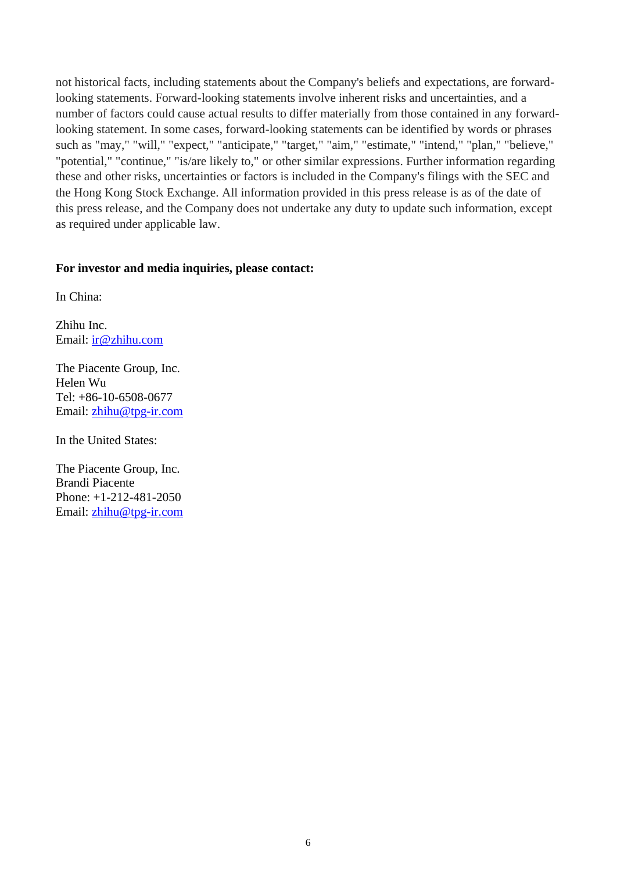not historical facts, including statements about the Company's beliefs and expectations, are forwardlooking statements. Forward-looking statements involve inherent risks and uncertainties, and a number of factors could cause actual results to differ materially from those contained in any forwardlooking statement. In some cases, forward-looking statements can be identified by words or phrases such as "may," "will," "expect," "anticipate," "target," "aim," "estimate," "intend," "plan," "believe," "potential," "continue," "is/are likely to," or other similar expressions. Further information regarding these and other risks, uncertainties or factors is included in the Company's filings with the SEC and the Hong Kong Stock Exchange. All information provided in this press release is as of the date of this press release, and the Company does not undertake any duty to update such information, except as required under applicable law.

#### **For investor and media inquiries, please contact:**

In China:

Zhihu Inc. Email: ir@zhihu.com

The Piacente Group, Inc. Helen Wu Tel: +86-10-6508-0677 Email: zhihu@tpg-ir.com

In the United States:

The Piacente Group, Inc. Brandi Piacente Phone: +1-212-481-2050 Email: [zhihu@tpg-ir.com](mailto:zhihu@tpg-ir.com)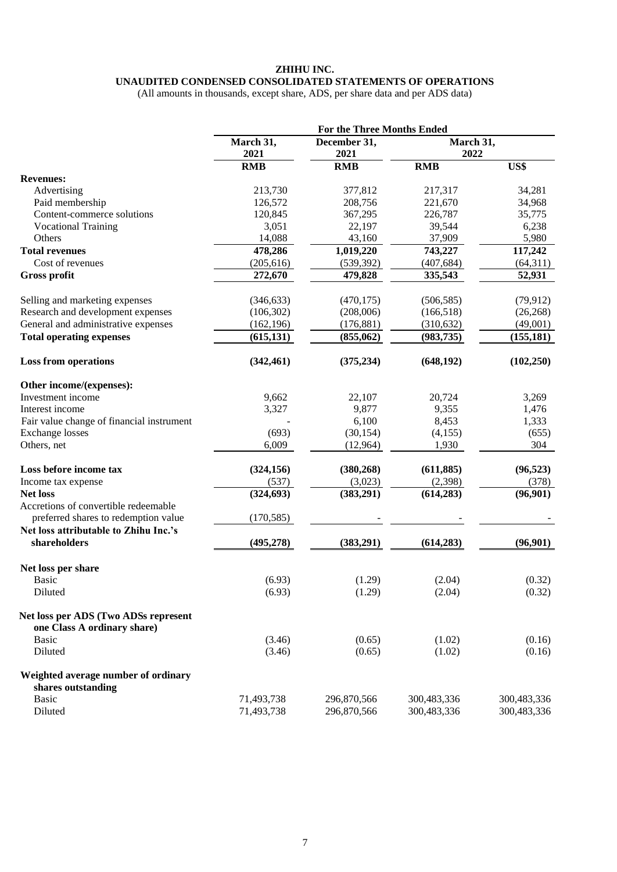#### **ZHIHU INC. UNAUDITED CONDENSED CONSOLIDATED STATEMENTS OF OPERATIONS**

(All amounts in thousands, except share, ADS, per share data and per ADS data)

|                                                                     | For the Three Months Ended |                            |                            |                            |
|---------------------------------------------------------------------|----------------------------|----------------------------|----------------------------|----------------------------|
|                                                                     | March 31,                  | December 31,               | March 31,                  |                            |
|                                                                     | 2021                       | 2021                       | 2022                       |                            |
|                                                                     | <b>RMB</b>                 | <b>RMB</b>                 | <b>RMB</b>                 | US\$                       |
| <b>Revenues:</b>                                                    |                            |                            |                            |                            |
| Advertising                                                         | 213,730                    | 377,812                    | 217,317                    | 34,281                     |
| Paid membership                                                     | 126,572                    | 208,756                    | 221,670                    | 34,968                     |
| Content-commerce solutions                                          | 120,845                    | 367,295                    | 226,787                    | 35,775                     |
| <b>Vocational Training</b>                                          | 3,051                      | 22,197                     | 39,544                     | 6,238                      |
| Others                                                              | 14,088                     | 43,160                     | 37,909                     | 5,980                      |
| <b>Total revenues</b>                                               | 478,286                    | 1,019,220                  | 743,227                    | 117,242                    |
| Cost of revenues                                                    | (205, 616)                 | (539, 392)                 | (407, 684)                 | (64,311)                   |
| <b>Gross profit</b>                                                 | 272,670                    | 479,828                    | 335,543                    | 52,931                     |
| Selling and marketing expenses                                      | (346, 633)                 | (470, 175)                 | (506, 585)                 | (79, 912)                  |
| Research and development expenses                                   | (106, 302)                 | (208,006)                  | (166, 518)                 | (26, 268)                  |
| General and administrative expenses                                 | (162, 196)                 | (176, 881)                 | (310, 632)                 | (49,001)                   |
| <b>Total operating expenses</b>                                     | (615, 131)                 | (855, 062)                 | (983, 735)                 | (155, 181)                 |
| <b>Loss from operations</b>                                         | (342, 461)                 | (375, 234)                 | (648, 192)                 | (102, 250)                 |
| Other income/(expenses):                                            |                            |                            |                            |                            |
| Investment income                                                   | 9,662                      | 22,107                     | 20,724                     | 3,269                      |
| Interest income                                                     | 3,327                      | 9,877                      | 9,355                      | 1,476                      |
| Fair value change of financial instrument                           |                            | 6,100                      | 8,453                      | 1,333                      |
| <b>Exchange</b> losses                                              | (693)                      | (30, 154)                  | (4,155)                    | (655)                      |
| Others, net                                                         | 6,009                      | (12,964)                   | 1,930                      | 304                        |
| Loss before income tax                                              | (324, 156)                 | (380, 268)                 | (611, 885)                 | (96, 523)                  |
| Income tax expense                                                  | (537)                      | (3,023)                    | (2,398)                    | (378)                      |
| <b>Net loss</b>                                                     | (324, 693)                 | (383,291)                  | (614, 283)                 | (96,901)                   |
| Accretions of convertible redeemable                                |                            |                            |                            |                            |
| preferred shares to redemption value                                | (170, 585)                 |                            |                            |                            |
| Net loss attributable to Zhihu Inc.'s                               |                            |                            |                            |                            |
| shareholders                                                        | (495, 278)                 | (383,291)                  | (614, 283)                 | (96,901)                   |
| Net loss per share                                                  |                            |                            |                            |                            |
| <b>Basic</b>                                                        | (6.93)                     | (1.29)                     | (2.04)                     | (0.32)                     |
| Diluted                                                             | (6.93)                     | (1.29)                     | (2.04)                     | (0.32)                     |
| Net loss per ADS (Two ADSs represent<br>one Class A ordinary share) |                            |                            |                            |                            |
| <b>Basic</b>                                                        | (3.46)                     | (0.65)                     | (1.02)                     | (0.16)                     |
| Diluted                                                             | (3.46)                     | (0.65)                     | (1.02)                     | (0.16)                     |
| Weighted average number of ordinary<br>shares outstanding           |                            |                            |                            |                            |
| <b>Basic</b><br>Diluted                                             | 71,493,738<br>71,493,738   | 296,870,566<br>296,870,566 | 300,483,336<br>300,483,336 | 300,483,336<br>300,483,336 |
|                                                                     |                            |                            |                            |                            |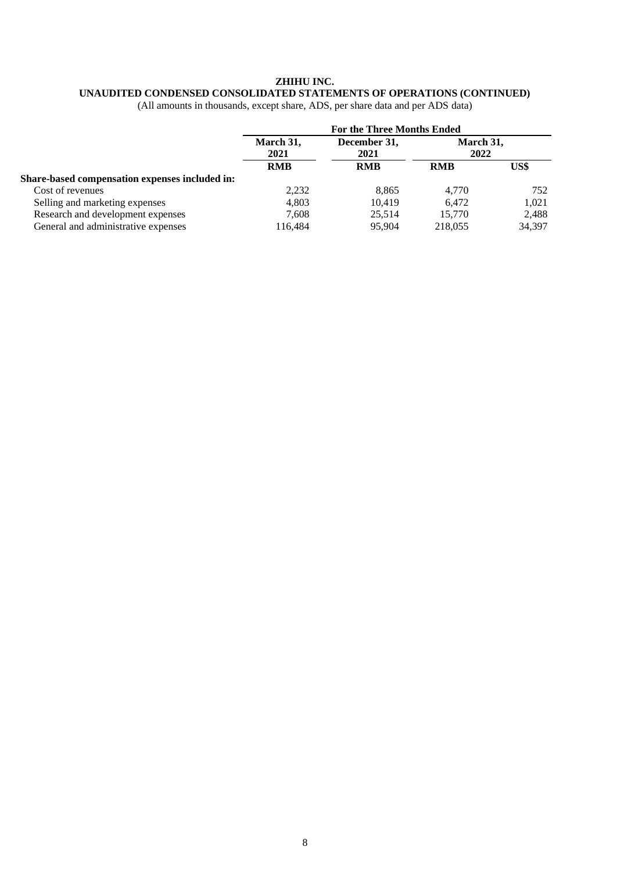#### **ZHIHU INC.**

# **UNAUDITED CONDENSED CONSOLIDATED STATEMENTS OF OPERATIONS (CONTINUED)**

(All amounts in thousands, except share, ADS, per share data and per ADS data)

|                                                | <b>For the Three Months Ended</b> |                                    |                   |        |
|------------------------------------------------|-----------------------------------|------------------------------------|-------------------|--------|
|                                                | March 31,<br>2021<br><b>RMB</b>   | December 31,<br>2021<br><b>RMB</b> | March 31,<br>2022 |        |
|                                                |                                   |                                    | <b>RMB</b>        | US\$   |
| Share-based compensation expenses included in: |                                   |                                    |                   |        |
| Cost of revenues                               | 2,232                             | 8.865                              | 4.770             | 752    |
| Selling and marketing expenses                 | 4.803                             | 10.419                             | 6.472             | 1.021  |
| Research and development expenses              | 7.608                             | 25.514                             | 15.770            | 2,488  |
| General and administrative expenses            | 116,484                           | 95,904                             | 218,055           | 34,397 |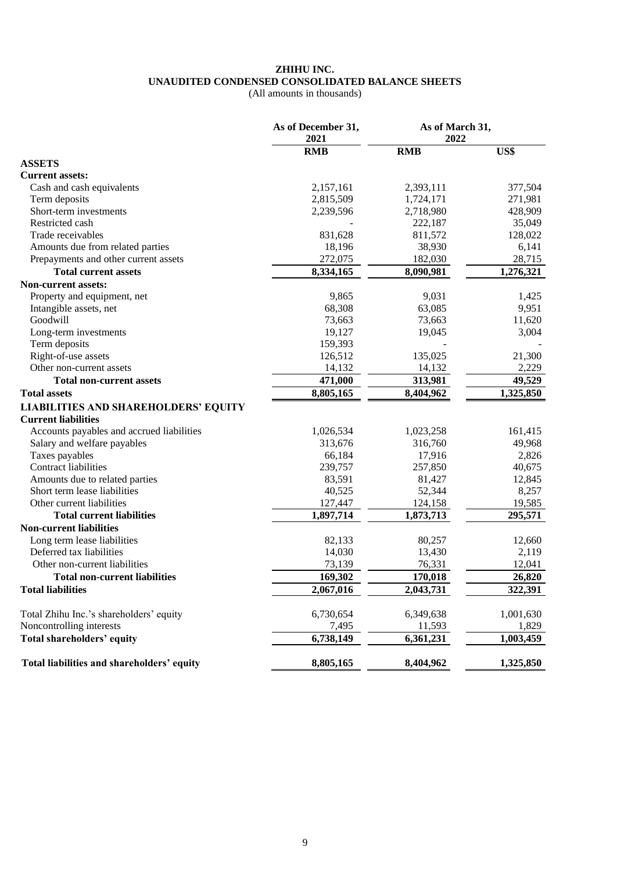#### **ZHIHU INC. UNAUDITED CONDENSED CONSOLIDATED BALANCE SHEETS**

(All amounts in thousands)

|                                             | As of December 31,<br>2021 | As of March 31,<br>2022 |           |  |
|---------------------------------------------|----------------------------|-------------------------|-----------|--|
|                                             | <b>RMB</b>                 | <b>RMB</b>              | US\$      |  |
| <b>ASSETS</b>                               |                            |                         |           |  |
| <b>Current assets:</b>                      |                            |                         |           |  |
| Cash and cash equivalents                   | 2,157,161                  | 2,393,111               | 377,504   |  |
| Term deposits                               | 2,815,509                  | 1,724,171               | 271,981   |  |
| Short-term investments                      | 2,239,596                  | 2,718,980               | 428,909   |  |
| Restricted cash                             |                            | 222,187                 | 35,049    |  |
| Trade receivables                           | 831,628                    | 811,572                 | 128,022   |  |
| Amounts due from related parties            | 18,196                     | 38,930                  | 6,141     |  |
| Prepayments and other current assets        | 272,075                    | 182,030                 | 28,715    |  |
| <b>Total current assets</b>                 | 8,334,165                  | 8,090,981               | 1,276,321 |  |
| <b>Non-current assets:</b>                  |                            |                         |           |  |
| Property and equipment, net                 | 9,865                      | 9,031                   | 1,425     |  |
| Intangible assets, net                      | 68,308                     | 63,085                  | 9,951     |  |
| Goodwill                                    | 73,663                     | 73,663                  | 11,620    |  |
| Long-term investments                       | 19,127                     | 19,045                  | 3,004     |  |
| Term deposits                               | 159,393                    |                         |           |  |
| Right-of-use assets                         | 126,512                    | 135,025                 | 21,300    |  |
| Other non-current assets                    | 14,132                     | 14,132                  | 2,229     |  |
| <b>Total non-current assets</b>             | 471,000                    | 313,981                 | 49,529    |  |
| <b>Total assets</b>                         | 8,805,165                  | 8,404,962               | 1,325,850 |  |
| <b>LIABILITIES AND SHAREHOLDERS' EQUITY</b> |                            |                         |           |  |
| <b>Current liabilities</b>                  |                            |                         |           |  |
| Accounts payables and accrued liabilities   | 1,026,534                  | 1,023,258               | 161,415   |  |
| Salary and welfare payables                 | 313,676                    | 316,760                 | 49,968    |  |
| Taxes payables                              | 66,184                     | 17,916                  | 2,826     |  |
| <b>Contract liabilities</b>                 | 239,757                    | 257,850                 | 40,675    |  |
| Amounts due to related parties              | 83,591                     | 81,427                  | 12,845    |  |
| Short term lease liabilities                | 40,525                     | 52,344                  | 8,257     |  |
| Other current liabilities                   | 127,447                    | 124,158                 | 19,585    |  |
| <b>Total current liabilities</b>            | 1,897,714                  | 1,873,713               | 295,571   |  |
| <b>Non-current liabilities</b>              |                            |                         |           |  |
| Long term lease liabilities                 | 82,133                     | 80,257                  | 12,660    |  |
| Deferred tax liabilities                    | 14,030                     | 13,430                  | 2,119     |  |
| Other non-current liabilities               | 73,139                     | 76,331                  | 12,041    |  |
| <b>Total non-current liabilities</b>        | 169,302                    | 170,018                 | 26,820    |  |
| <b>Total liabilities</b>                    | 2,067,016                  | 2,043,731               | 322,391   |  |
|                                             |                            |                         |           |  |
| Total Zhihu Inc.'s shareholders' equity     | 6,730,654                  | 6,349,638               | 1,001,630 |  |
| Noncontrolling interests                    | 7,495                      | 11,593                  | 1,829     |  |
| <b>Total shareholders' equity</b>           | 6,738,149                  | 6,361,231               | 1,003,459 |  |
| Total liabilities and shareholders' equity  | 8,805,165                  | 8,404,962               | 1,325,850 |  |